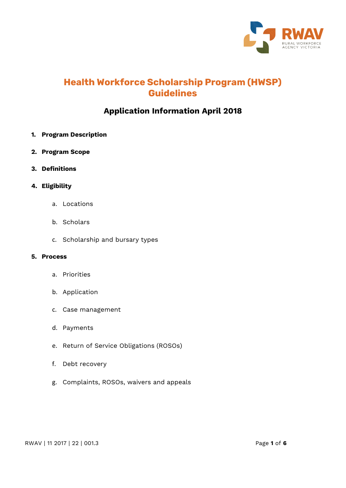

# **Health Workforce Scholarship Program (HWSP) Guidelines**

# **Application Information April 2018**

- **1. Program Description**
- **2. Program Scope**
- **3. Definitions**
- **4. Eligibility**
	- a. Locations
	- b. Scholars
	- c. Scholarship and bursary types

#### **5. Process**

- a. Priorities
- b. Application
- c. Case management
- d. Payments
- e. Return of Service Obligations (ROSOs)
- f. Debt recovery
- g. Complaints, ROSOs, waivers and appeals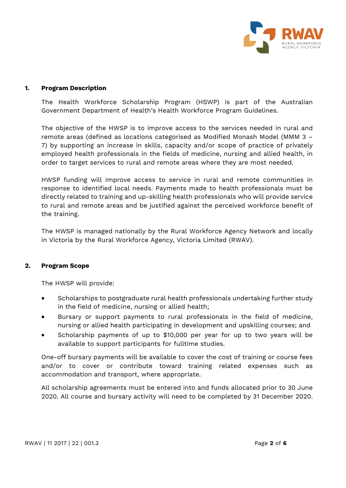

#### **1. Program Description**

The Health Workforce Scholarship Program (HSWP) is part of the Australian Government Department of Health's Health Workforce Program Guidelines.

The objective of the HWSP is to improve access to the services needed in rural and remote areas (defined as locations categorised as Modified Monash Model (MMM 3 – 7) by supporting an increase in skills, capacity and/or scope of practice of privately employed health professionals in the fields of medicine, nursing and allied health, in order to target services to rural and remote areas where they are most needed.

HWSP funding will improve access to service in rural and remote communities in response to identified local needs. Payments made to health professionals must be directly related to training and up-skilling health professionals who will provide service to rural and remote areas and be justified against the perceived workforce benefit of the training.

The HWSP is managed nationally by the Rural Workforce Agency Network and locally in Victoria by the Rural Workforce Agency, Victoria Limited (RWAV).

## **2. Program Scope**

The HWSP will provide:

- Scholarships to postgraduate rural health professionals undertaking further study in the field of medicine, nursing or allied health;
- Bursary or support payments to rural professionals in the field of medicine, nursing or allied health participating in development and upskilling courses; and
- Scholarship payments of up to \$10,000 per year for up to two years will be available to support participants for fulltime studies.

One-off bursary payments will be available to cover the cost of training or course fees and/or to cover or contribute toward training related expenses such as accommodation and transport, where appropriate.

All scholarship agreements must be entered into and funds allocated prior to 30 June 2020. All course and bursary activity will need to be completed by 31 December 2020.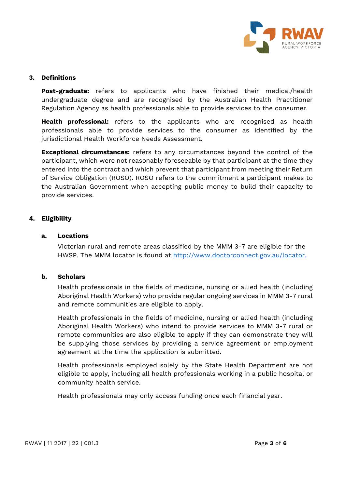

#### **3. Definitions**

**Post-graduate:** refers to applicants who have finished their medical/health undergraduate degree and are recognised by the Australian Health Practitioner Regulation Agency as health professionals able to provide services to the consumer.

**Health professional:** refers to the applicants who are recognised as health professionals able to provide services to the consumer as identified by the jurisdictional Health Workforce Needs Assessment.

**Exceptional circumstances:** refers to any circumstances beyond the control of the participant, which were not reasonably foreseeable by that participant at the time they entered into the contract and which prevent that participant from meeting their Return of Service Obligation (ROSO). ROSO refers to the commitment a participant makes to the Australian Government when accepting public money to build their capacity to provide services.

## **4. Eligibility**

#### **a. Locations**

Victorian rural and remote areas classified by the MMM 3-7 are eligible for the HWSP. The MMM locator is found at [http://www.doctorconnect.gov.au/locator.](http://www.doctorconnect.gov.au/locator)

#### **b. Scholars**

Health professionals in the fields of medicine, nursing or allied health (including Aboriginal Health Workers) who provide regular ongoing services in MMM 3-7 rural and remote communities are eligible to apply.

Health professionals in the fields of medicine, nursing or allied health (including Aboriginal Health Workers) who intend to provide services to MMM 3-7 rural or remote communities are also eligible to apply if they can demonstrate they will be supplying those services by providing a service agreement or employment agreement at the time the application is submitted.

Health professionals employed solely by the State Health Department are not eligible to apply, including all health professionals working in a public hospital or community health service.

Health professionals may only access funding once each financial year.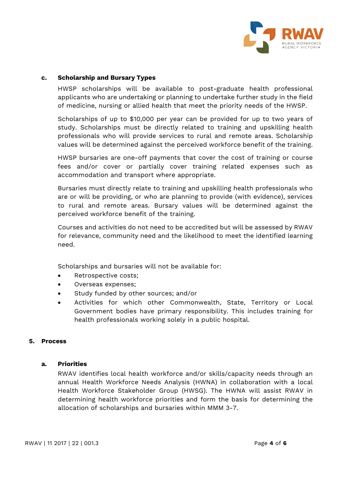

# **c. Scholarship and Bursary Types**

HWSP scholarships will be available to post-graduate health professional applicants who are undertaking or planning to undertake further study in the field of medicine, nursing or allied health that meet the priority needs of the HWSP.

Scholarships of up to \$10,000 per year can be provided for up to two years of study. Scholarships must be directly related to training and upskilling health professionals who will provide services to rural and remote areas. Scholarship values will be determined against the perceived workforce benefit of the training.

HWSP bursaries are one-off payments that cover the cost of training or course fees and/or cover or partially cover training related expenses such as accommodation and transport where appropriate.

Bursaries must directly relate to training and upskilling health professionals who are or will be providing, or who are planning to provide (with evidence), services to rural and remote areas. Bursary values will be determined against the perceived workforce benefit of the training.

Courses and activities do not need to be accredited but will be assessed by RWAV for relevance, community need and the likelihood to meet the identified learning need.

Scholarships and bursaries will not be available for:

- Retrospective costs;
- Overseas expenses;
- Study funded by other sources; and/or
- Activities for which other Commonwealth, State, Territory or Local Government bodies have primary responsibility. This includes training for health professionals working solely in a public hospital.

## **5. Process**

## **a. Priorities**

RWAV identifies local health workforce and/or skills/capacity needs through an annual Health Workforce Needs Analysis (HWNA) in collaboration with a local Health Workforce Stakeholder Group (HWSG). The HWNA will assist RWAV in determining health workforce priorities and form the basis for determining the allocation of scholarships and bursaries within MMM 3-7.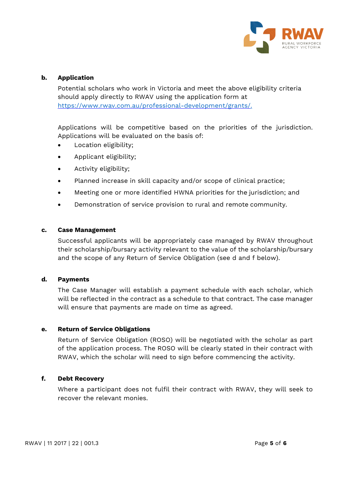

# **b. Application**

Potential scholars who work in Victoria and meet the above eligibility criteria should apply directly to RWAV using the application form at [https://www.rwav.com.au/professional-development/grants/.](https://www.rwav.com.au/professional-development/grants/)

Applications will be competitive based on the priorities of the jurisdiction. Applications will be evaluated on the basis of:

- Location eligibility;
- Applicant eligibility;
- Activity eligibility;
- Planned increase in skill capacity and/or scope of clinical practice;
- Meeting one or more identified HWNA priorities for the jurisdiction; and
- Demonstration of service provision to rural and remote community.

#### **c. Case Management**

Successful applicants will be appropriately case managed by RWAV throughout their scholarship/bursary activity relevant to the value of the scholarship/bursary and the scope of any Return of Service Obligation (see d and f below).

## **d. Payments**

The Case Manager will establish a payment schedule with each scholar, which will be reflected in the contract as a schedule to that contract. The case manager will ensure that payments are made on time as agreed.

## **e. Return of Service Obligations**

Return of Service Obligation (ROSO) will be negotiated with the scholar as part of the application process. The ROSO will be clearly stated in their contract with RWAV, which the scholar will need to sign before commencing the activity.

## **f. Debt Recovery**

Where a participant does not fulfil their contract with RWAV, they will seek to recover the relevant monies.